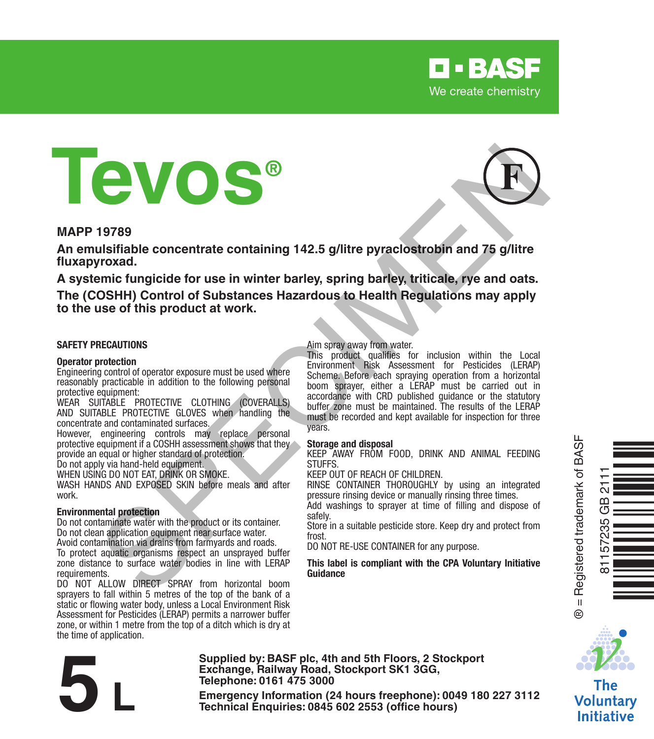

# **Tevos®**

#### **MAPP 19789**

**An emulsifiable concentrate containing 142.5 g/litre pyraclostrobin and 75 g/litre fluxapyroxad.**

**A systemic fungicide for use in winter barley, spring barley, triticale, rye and oats.**

**The (COSHH) Control of Substances Hazardous to Health Regulations may apply to the use of this product at work.**

#### **SAFETY PRECAUTIONS**

#### **Operator protection**

Engineering control of operator exposure must be used where reasonably practicable in addition to the following personal protective equipment:

WEAR SUITABLE PROTECTIVE CLOTHING (COVERALLS) AND SUITABLE PROTECTIVE GLOVES when handling the concentrate and contaminated surfaces.

However, engineering controls may replace personal protective equipment if a COSHH assessment shows that they provide an equal or higher standard of protection.

Do not apply via hand-held equipment.

WHEN USING DO NOT EAT, DRINK OR SMOKE.

WASH HANDS AND EXPOSED SKIN before meals and after work.

#### **Environmental protection**

Do not contaminate water with the product or its container. Do not clean application equipment near surface water.

Avoid contamination via drains from farmyards and roads. To protect aquatic organisms respect an unsprayed buffer zone distance to surface water bodies in line with LERAP requirements.

DO NOT ALLOW DIRECT SPRAY from horizontal boom sprayers to fall within 5 metres of the top of the bank of a static or flowing water body, unless a Local Environment Risk Assessment for Pesticides (LERAP) permits a narrower buffer zone, or within 1 metre from the top of a ditch which is dry at the time of application.

#### Aim spray away from water.

This product qualifies for inclusion within the Local Environment Risk Assessment for Pesticides (LERAP) Scheme. Before each spraying operation from a horizontal boom sprayer, either a LERAP must be carried out in accordance with CRD published guidance or the statutory buffer zone must be maintained. The results of the LERAP must be recorded and kept available for inspection for three years. **Example 1978 and the contract containing 142.5 g/litre pyraclostrobin and 75 g/litre<br>
survivale. Concentrate containing 142.5 g/litre pyraclostrobin and 75 g/litre<br>
proced.<br>
Troxidal concentrate for use in winter barley,** 

#### **Storage and disposal**

KEEP AWAY FROM FOOD, DRINK AND ANIMAL FEEDING STUFFS.

KEEP OUT OF REACH OF CHILDREN.

RINSE CONTAINER THOROUGHLY by using an integrated pressure rinsing device or manually rinsing three times.

Add washings to sprayer at time of filling and dispose of safely.

Store in a suitable pesticide store. Keep dry and protect from frost.

DO NOT RE-USE CONTAINER for any purpose.

#### **This label is compliant with the CPA Voluntary Initiative Guidance**



® = Registered trademark of BASF

 $\ddot{\circ}$ 



Voluntary **Initiative** 

**Telephone: 0161 475 3000** Exchange, Rallway Road, Stockport SK1 3GG,<br>
Telephone: 0161 475 3000<br>
Emergency Information (24 hours freephone): 0049 180 227 3112<br>
Technical Enquiries: 0845 602 2553 (office hours)

**Supplied by: BASF plc, 4th and 5th Floors, 2 Stockport Exchange, Railway Road, Stockport SK1 3GG,** 

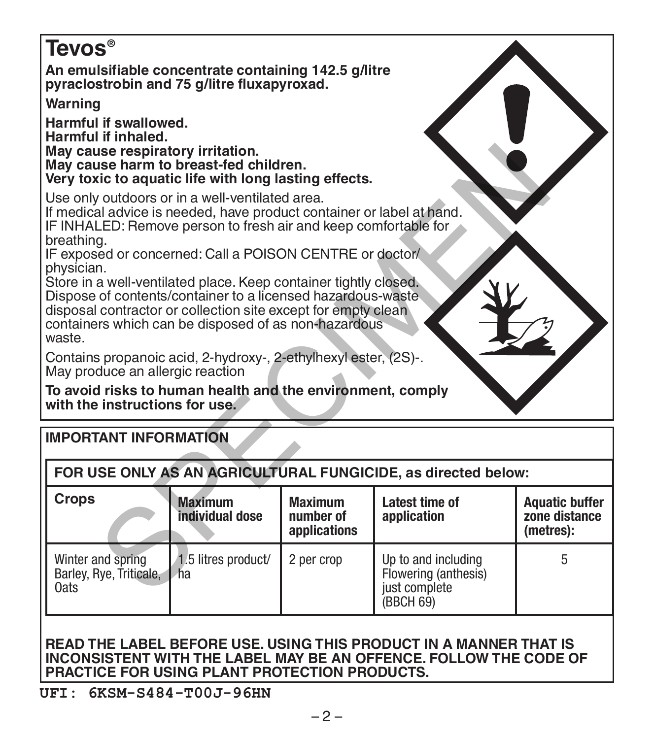## **Tevos® An emulsifiable concentrate containing 142.5 g/litre pyraclostrobin and 75 g/litre fluxapyroxad. Warning Harmful if swallowed. Harmful if inhaled. May cause respiratory irritation. May cause harm to breast-fed children. Very toxic to aquatic life with long lasting effects.** Use only outdoors or in a well-ventilated area. If medical advice is needed, have product container or label at hand. IF INHALED: Remove person to fresh air and keep comfortable for breathing. IF exposed or concerned: Call a POISON CENTRE or doctor/ physician. Store in a well-ventilated place. Keep container tightly closed. Dispose of contents/container to a licensed hazardous-waste disposal contractor or collection site except for empty clean containers which can be disposed of as non-hazardous waste. Contains propanoic acid, 2-hydroxy-, 2-ethylhexyl ester, (2S)-. May produce an allergic reaction Se respiratory irriticalor.<br>
See harm to breast-fed children.<br>
it is to aquatic life with long lasting effects.<br>
al advice is needed, have product container or label at hand.<br>
LED: Remove person to fresh air and keep comfo

**To avoid risks to human health and the environment, comply with the instructions for use.**

| <b>IMPORTANT INFORMATION</b>                                  |                                   |                                             |                                                                           |                                                     |  |  |  |  |
|---------------------------------------------------------------|-----------------------------------|---------------------------------------------|---------------------------------------------------------------------------|-----------------------------------------------------|--|--|--|--|
| FOR USE ONLY AS AN AGRICULTURAL FUNGICIDE, as directed below: |                                   |                                             |                                                                           |                                                     |  |  |  |  |
| <b>Crops</b>                                                  | <b>Maximum</b><br>individual dose | <b>Maximum</b><br>number of<br>applications | Latest time of<br>application                                             | <b>Aquatic buffer</b><br>zone distance<br>(metres): |  |  |  |  |
| Winter and spring<br>Barley, Rye, Triticale,<br>0ats          | 1.5 litres product/<br>ha         | 2 per crop                                  | Up to and including<br>Flowering (anthesis)<br>just complete<br>(BBCH 69) | 5                                                   |  |  |  |  |

#### **READ THE LABEL BEFORE USE. USING THIS PRODUCT IN A MANNER THAT IS INCONSISTENT WITH THE LABEL MAY BE AN OFFENCE. FOLLOW THE CODE OF PRACTICE FOR USING PLANT PROTECTION PRODUCTS.**

## **UFI: 6KSM-S484-T00J-96HN**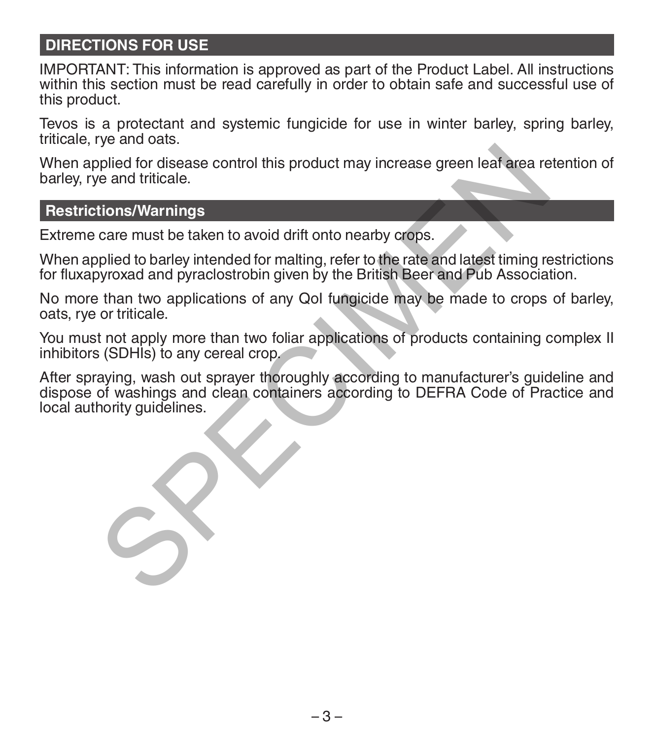## **DIRECTIONS FOR USE**

IMPORTANT: This information is approved as part of the Product Label. All instructions within this section must be read carefully in order to obtain safe and successful use of this product.

Tevos is a protectant and systemic fungicide for use in winter barley, spring barley, triticale, rye and oats.

When applied for disease control this product may increase green leaf area retention of barley, rye and triticale.

## **Restrictions/Warnings**

Extreme care must be taken to avoid drift onto nearby crops.

When applied to barley intended for malting, refer to the rate and latest timing restrictions for fluxapyroxad and pyraclostrobin given by the British Beer and Pub Association.

No more than two applications of any QoI fungicide may be made to crops of barley, oats, rye or triticale.

You must not apply more than two foliar applications of products containing complex II inhibitors (SDHIs) to any cereal crop.

After spraying, wash out sprayer thoroughly according to manufacturer's guideline and dispose of washings and clean containers according to DEFRA Code of Practice and local authority quidelines. poplied for disease control this product may increase green leaf area re<br>
e and triticale.<br>
tions/Warnings<br>
care must be taken to avoid drift onto nearby crops.<br>
polied to barley intended for malting, refer to the rate and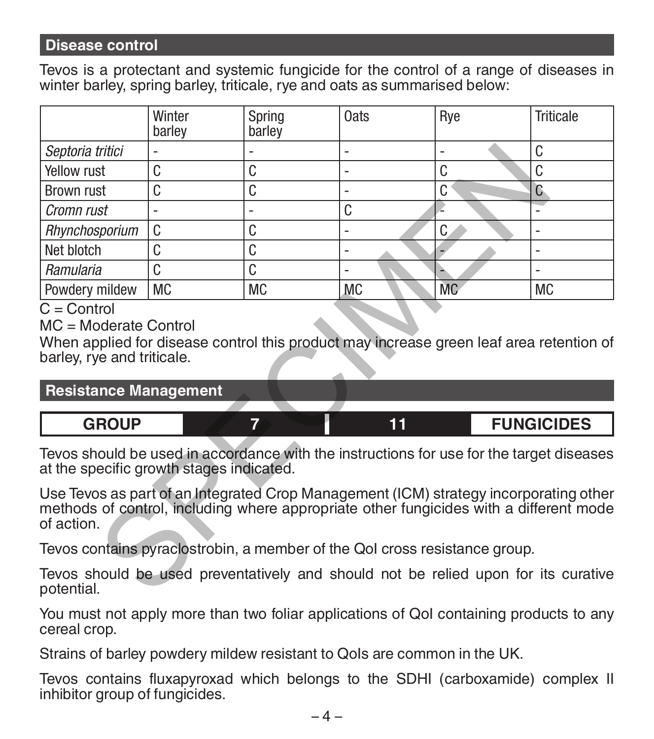## **Disease control**

Tevos is a protectant and systemic fungicide for the control of a range of diseases in winter barley, spring barley, triticale, rye and oats as summarised below:

|                                                                                                                                                                                               | Winter<br>barley | Spring<br>barley | Oats | Rye       | <b>Triticale</b>  |  |  |
|-----------------------------------------------------------------------------------------------------------------------------------------------------------------------------------------------|------------------|------------------|------|-----------|-------------------|--|--|
| Septoria tritici                                                                                                                                                                              |                  |                  | ÷    | L.        | C                 |  |  |
| Yellow rust                                                                                                                                                                                   | C                | C                | ٠    | C         | C                 |  |  |
| <b>Brown rust</b>                                                                                                                                                                             | C                | C                | ٠    | C         | C                 |  |  |
| Cromn rust                                                                                                                                                                                    |                  | ٠                | C    |           |                   |  |  |
| Rhynchosporium                                                                                                                                                                                | C                | C                |      | C         | ä,                |  |  |
| Net blotch                                                                                                                                                                                    | C                | C                | ٠    |           |                   |  |  |
| Ramularia                                                                                                                                                                                     | C                | C                | ä,   |           |                   |  |  |
| Powdery mildew                                                                                                                                                                                | <b>MC</b>        | <b>MC</b>        | MC   | <b>MC</b> | <b>MC</b>         |  |  |
| barley, rye and triticale.<br><b>Resistance Management</b>                                                                                                                                    |                  |                  |      |           |                   |  |  |
| <b>GROUP</b>                                                                                                                                                                                  |                  | 7<br>11          |      |           | <b>FUNGICIDES</b> |  |  |
| Tevos should be used in accordance with the instructions for use for the target diseases<br>at the specific growth stages indicated.                                                          |                  |                  |      |           |                   |  |  |
| Use Tevos as part of an Integrated Crop Management (ICM) strategy incorporating other<br>methods of control, including where appropriate other fungicides with a different mode<br>of action. |                  |                  |      |           |                   |  |  |
| Tevos contains pyraclostrobin, a member of the Qol cross resistance group.                                                                                                                    |                  |                  |      |           |                   |  |  |
| Tevos should be used preventatively and should not be relied upon for its curative<br>potential.                                                                                              |                  |                  |      |           |                   |  |  |

## $C =$  Control

| <b>Resistance Management</b> |  |  |  |                   |
|------------------------------|--|--|--|-------------------|
|                              |  |  |  |                   |
| <b>GROUP</b>                 |  |  |  | <b>FUNGICIDES</b> |

You must not apply more than two foliar applications of QoI containing products to any cereal crop.

Strains of barley powdery mildew resistant to QoIs are common in the UK.

Tevos contains fluxapyroxad which belongs to the SDHI (carboxamide) complex II inhibitor group of fungicides.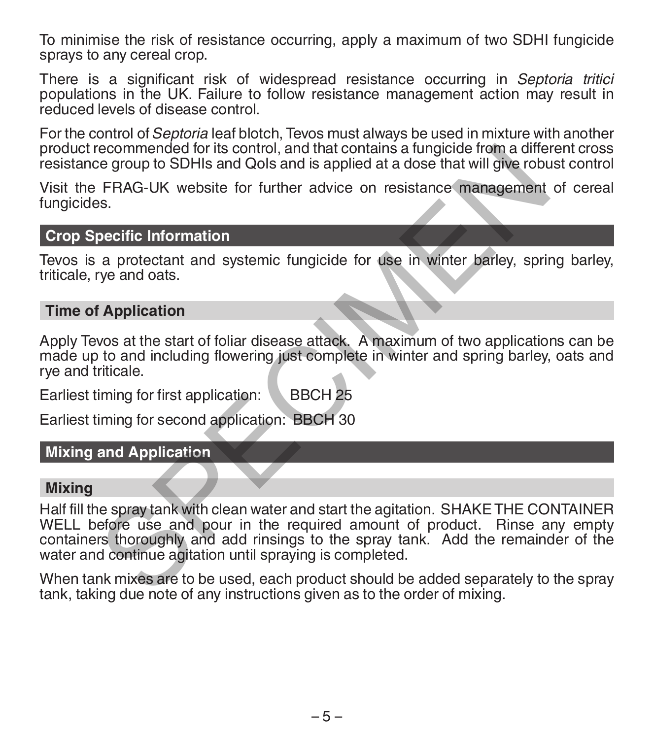To minimise the risk of resistance occurring, apply a maximum of two SDHI fungicide sprays to any cereal crop.

There is a significant risk of widespread resistance occurring in *Septoria tritici* populations in the UK. Failure to follow resistance management action may result in reduced levels of disease control.

For the control of *Septoria* leaf blotch, Tevos must always be used in mixture with another product recommended for its control, and that contains a fungicide from a different cross resistance group to SDHIs and QoIs and is applied at a dose that will give robust control

Visit the FRAG-UK website for further advice on resistance management of cereal fungicides.

#### **Crop Specific Information**

Tevos is a protectant and systemic fungicide for use in winter barley, spring barley, triticale, rye and oats.

#### **Time of Application**

Apply Tevos at the start of foliar disease attack. A maximum of two applications can be made up to and including flowering just complete in winter and spring barley, oats and rye and triticale.

Earliest timing for first application: BBCH 25

Earliest timing for second application: BBCH 30

#### **Mixing and Application**

#### **Mixing**

Half fill the spray tank with clean water and start the agitation. SHAKE THE CONTAINER WELL before use and pour in the required amount of product. Rinse any empty containers thoroughly and add rinsings to the spray tank. Add the remainder of the water and continue agitation until spraying is completed. ee group to SDHIs and Qols and is applied at a dose that will give robustive FRAG-UK website for further advice on resistance management<br>FRAG-UK website for further advice on resistance management<br>specific Information<br>a pr

When tank mixes are to be used, each product should be added separately to the spray tank, taking due note of any instructions given as to the order of mixing.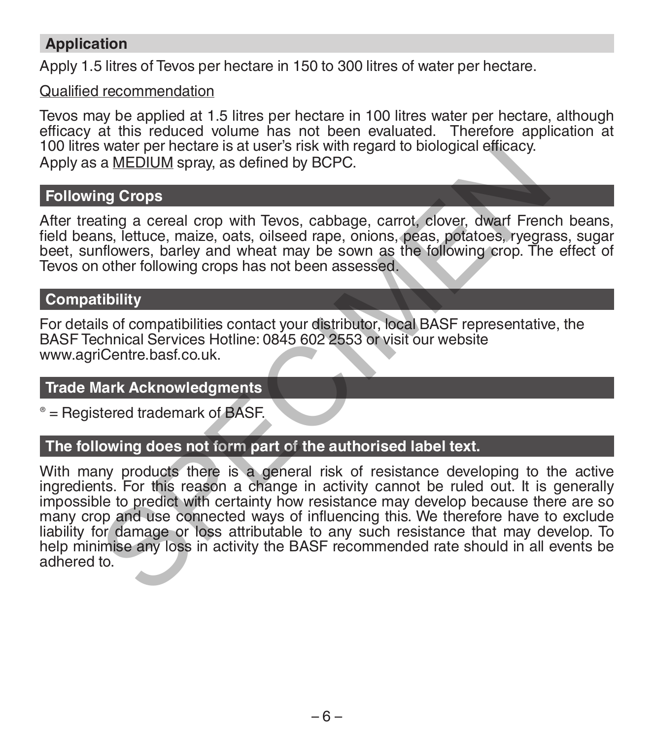## **Application**

Apply 1.5 litres of Tevos per hectare in 150 to 300 litres of water per hectare.

## Qualified recommendation

Tevos may be applied at 1.5 litres per hectare in 100 litres water per hectare, although efficacy at this reduced volume has not been evaluated. Therefore application at 100 litres water per hectare is at user's risk with regard to biological efficacy. Apply as a MEDIUM spray, as defined by BCPC.

## **Following Crops**

After treating a cereal crop with Tevos, cabbage, carrot, clover, dwarf French beans, field beans, lettuce, maize, oats, oilseed rape, onions, peas, potatoes, ryegrass, sugar beet, sunflowers, barley and wheat may be sown as the following crop. The effect of Tevos on other following crops has not been assessed.

## **Compatibility**

For details of compatibilities contact your distributor, local BASF representative, the BASF Technical Services Hotline: 0845 602 2553 or visit our website www.agriCentre.basf.co.uk.

## **Trade Mark Acknowledgments**

® = Registered trademark of BASF.

## **The following does not form part of the authorised label text.**

With many products there is a general risk of resistance developing to the active ingredients. For this reason a change in activity cannot be ruled out. It is generally impossible to predict with certainty how resistance may develop because there are so many crop and use connected ways of influencing this. We therefore have to exclude liability for damage or loss attributable to any such resistance that may develop. To help minimise any loss in activity the BASF recommended rate should in all events be adhered to. water per nectare is at user s risk with regard to biological entracty.<br>
a <u>MEDIUM</u> spray, as defined by BCPC.<br> **ng Crops**<br> **ng Crops**<br> **ng a creal crop with Tevos, cabbage, carrot, clover, dwarf Frending a creal crop with**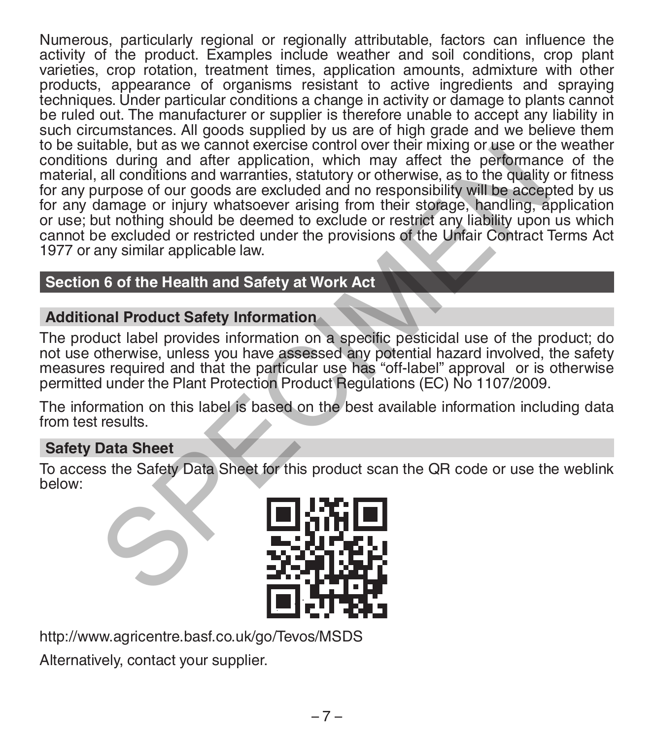Numerous, particularly regional or regionally attributable, factors can influence the activity of the product. Examples include weather and soil conditions, crop plant varieties, crop rotation, treatment times, application amounts, admixture with other products, appearance of organisms resistant to active ingredients and spraying techniques. Under particular conditions a change in activity or damage to plants cannot be ruled out. The manufacturer or supplier is therefore unable to accept any liability in such circumstances. All goods supplied by us are of high grade and we believe them to be suitable, but as we cannot exercise control over their mixing or use or the weather conditions during and after application, which may affect the performance of the material, all conditions and warranties, statutory or otherwise, as to the quality or fitness for any purpose of our goods are excluded and no responsibility will be accepted by us for any damage or injury whatsoever arising from their storage, handling, application or use; but nothing should be deemed to exclude or restrict any liability upon us which cannot be excluded or restricted under the provisions of the Unfair Contract Terms Act 1977 or any similar applicable law. table, but as we cannot exercise control over their mixing or use of the particular<br>is suring and after application, which may affect the performant<br>all conditions and warranties, statutory or otherwise, as to the quality<br>

## **Section 6 of the Health and Safety at Work Act**

## **Additional Product Safety Information**

The product label provides information on a specific pesticidal use of the product; do not use otherwise, unless you have assessed any potential hazard involved, the safety measures required and that the particular use has "off-label" approval or is otherwise permitted under the Plant Protection Product Regulations (EC) No 1107/2009.

The information on this label is based on the best available information including data from test results.

## **Safety Data Sheet**

To access the Safety Data Sheet for this product scan the QR code or use the weblink below:



http://www.agricentre.basf.co.uk/go/Tevos/MSDS

Alternatively, contact your supplier.